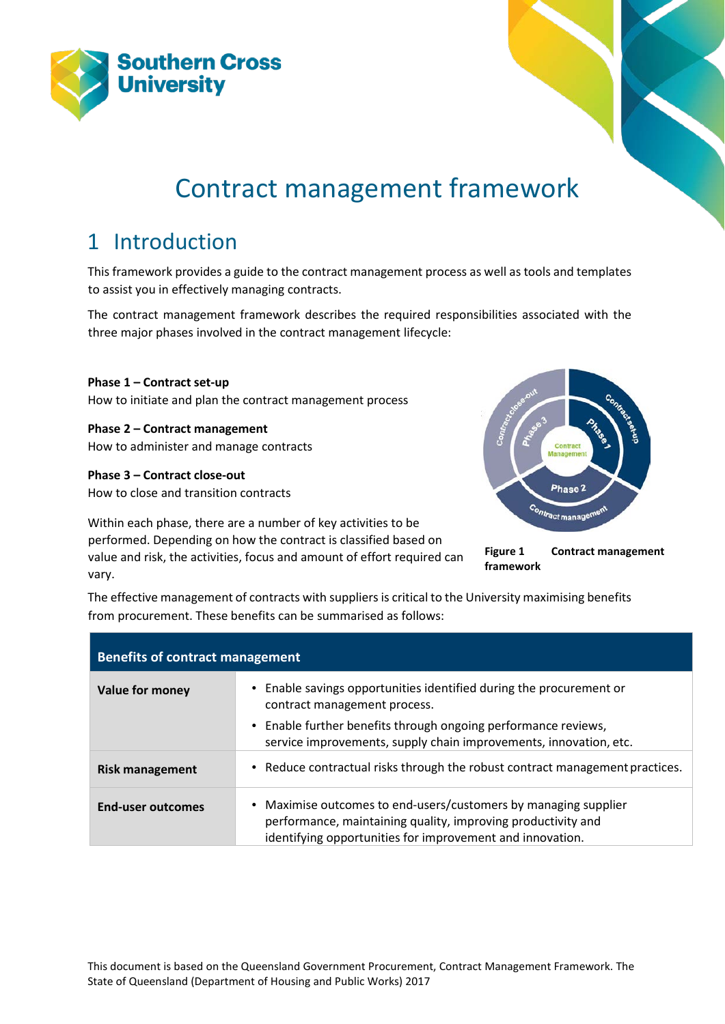



# Contract management framework

## 1 Introduction

This framework provides a guide to the contract management process as well as tools and templates to assist you in effectively managing contracts.

The contract management framework describes the required responsibilities associated with the three major phases involved in the contract management lifecycle:

**Phase 1 – Contract set-up** How to initiate and plan the contract management process

**Phase 2 – Contract management** How to administer and manage contracts

**Phase 3 – Contract close-out**

How to close and transition contracts

Within each phase, there are a number of key activities to be performed. Depending on how the contract is classified based on value and risk, the activities, focus and amount of effort required can vary.



**Figure 1 Contract management framework**

The effective management of contracts with suppliers is critical to the University maximising benefits from procurement. These benefits can be summarised as follows:

| <b>Benefits of contract management</b> |                                                                                                                                                                                              |  |  |
|----------------------------------------|----------------------------------------------------------------------------------------------------------------------------------------------------------------------------------------------|--|--|
| Value for money                        | • Enable savings opportunities identified during the procurement or<br>contract management process.                                                                                          |  |  |
|                                        | • Enable further benefits through ongoing performance reviews,<br>service improvements, supply chain improvements, innovation, etc.                                                          |  |  |
| <b>Risk management</b>                 | • Reduce contractual risks through the robust contract management practices.                                                                                                                 |  |  |
| <b>End-user outcomes</b>               | • Maximise outcomes to end-users/customers by managing supplier<br>performance, maintaining quality, improving productivity and<br>identifying opportunities for improvement and innovation. |  |  |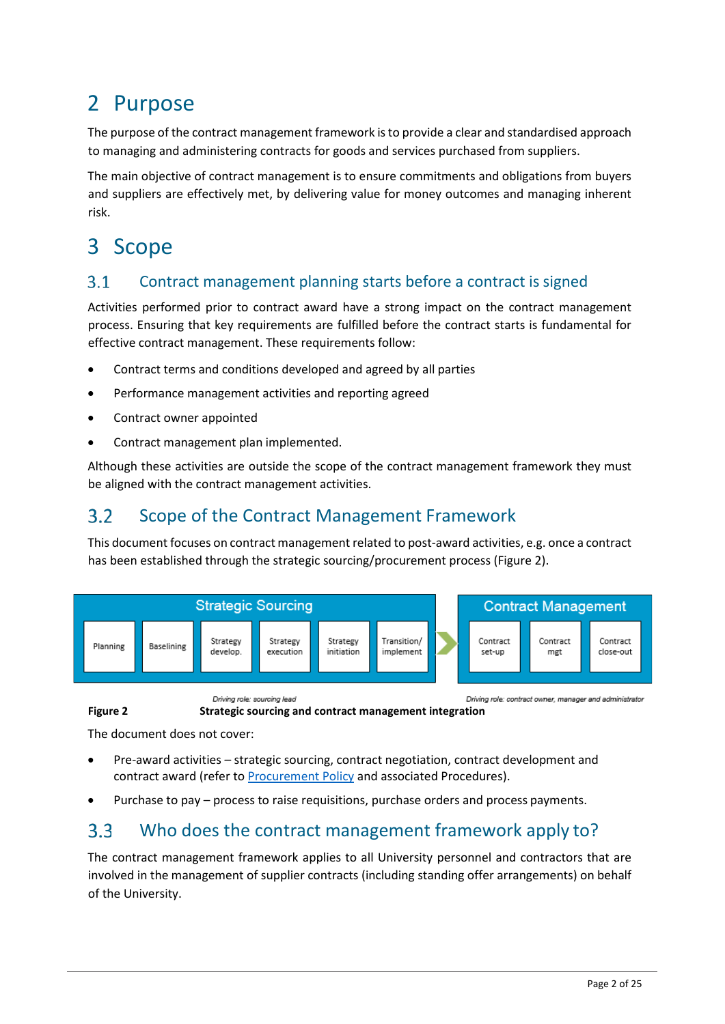## 2 Purpose

The purpose of the contract management framework is to provide a clear and standardised approach to managing and administering contracts for goods and services purchased from suppliers.

The main objective of contract management is to ensure commitments and obligations from buyers and suppliers are effectively met, by delivering value for money outcomes and managing inherent risk.

## 3 Scope

#### $3.1$ Contract management planning starts before a contract is signed

Activities performed prior to contract award have a strong impact on the contract management process. Ensuring that key requirements are fulfilled before the contract starts is fundamental for effective contract management. These requirements follow:

- Contract terms and conditions developed and agreed by all parties
- Performance management activities and reporting agreed
- Contract owner appointed
- Contract management plan implemented.

Although these activities are outside the scope of the contract management framework they must be aligned with the contract management activities.

#### $3.2$ Scope of the Contract Management Framework

This document focuses on contract management related to post-award activities, e.g. once a contract has been established through the strategic sourcing/procurement process (Figure 2).



Driving role: sourcing lead Driving role: contract owner, manager and administrator **Figure 2 Strategic sourcing and contract management integration**

The document does not cover:

- Pre-award activities strategic sourcing, contract negotiation, contract development and contract award (refer t[o Procurement Policy](http://policies.scu.edu.au/view.current.php?id=00117) and associated Procedures).
- Purchase to pay process to raise requisitions, purchase orders and process payments.

### Who does the contract management framework apply to?  $3.3$

The contract management framework applies to all University personnel and contractors that are involved in the management of supplier contracts (including standing offer arrangements) on behalf of the University.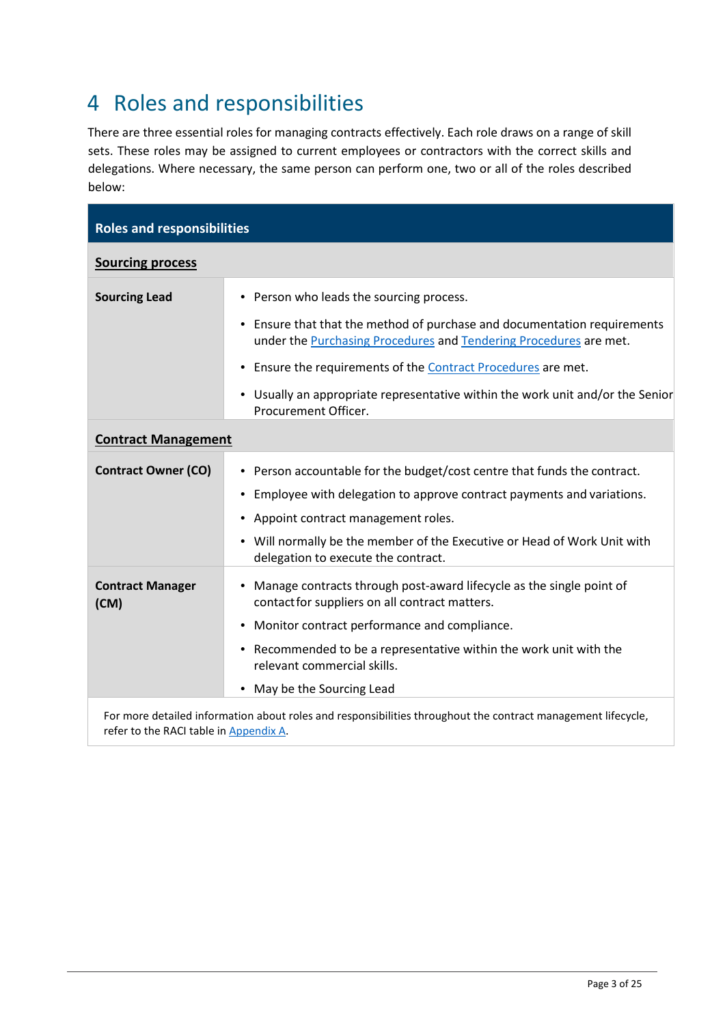# 4 Roles and responsibilities

There are three essential roles for managing contracts effectively. Each role draws on a range of skill sets. These roles may be assigned to current employees or contractors with the correct skills and delegations. Where necessary, the same person can perform one, two or all of the roles described below:

| <b>Roles and responsibilities</b> |                                                                                                                                                                                                                                                                                                                                                            |  |
|-----------------------------------|------------------------------------------------------------------------------------------------------------------------------------------------------------------------------------------------------------------------------------------------------------------------------------------------------------------------------------------------------------|--|
| <b>Sourcing process</b>           |                                                                                                                                                                                                                                                                                                                                                            |  |
| <b>Sourcing Lead</b>              | • Person who leads the sourcing process.<br>Ensure that that the method of purchase and documentation requirements<br>$\bullet$<br>under the Purchasing Procedures and Tendering Procedures are met.                                                                                                                                                       |  |
|                                   | Ensure the requirements of the Contract Procedures are met.<br>$\bullet$<br>Usually an appropriate representative within the work unit and/or the Senior<br>$\bullet$<br>Procurement Officer.                                                                                                                                                              |  |
| <b>Contract Management</b>        |                                                                                                                                                                                                                                                                                                                                                            |  |
| <b>Contract Owner (CO)</b>        | Person accountable for the budget/cost centre that funds the contract.<br>$\bullet$<br>Employee with delegation to approve contract payments and variations.<br>$\bullet$<br>Appoint contract management roles.<br>$\bullet$<br>Will normally be the member of the Executive or Head of Work Unit with<br>$\bullet$<br>delegation to execute the contract. |  |
| <b>Contract Manager</b><br>(CM)   | Manage contracts through post-award lifecycle as the single point of<br>$\bullet$<br>contact for suppliers on all contract matters.<br>Monitor contract performance and compliance.<br>$\bullet$<br>• Recommended to be a representative within the work unit with the<br>relevant commercial skills.<br>May be the Sourcing Lead<br>$\bullet$             |  |
|                                   | For more detailed information about roles and responsibilities throughout the contract management lifecycle,                                                                                                                                                                                                                                               |  |

refer to the RACI table in **Appendix A**.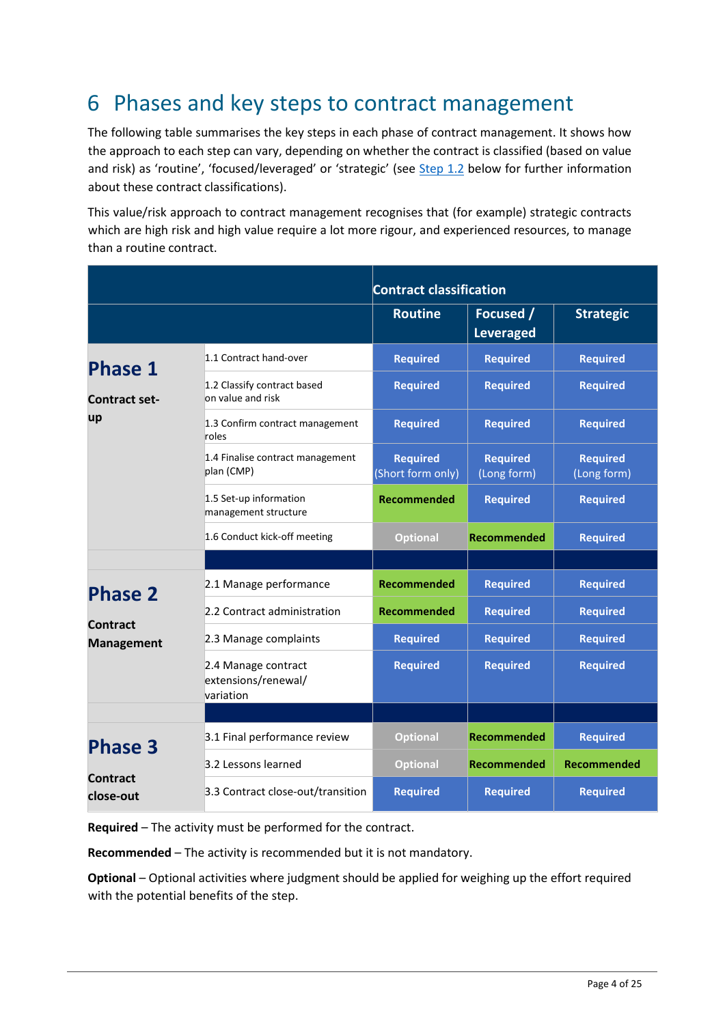## 6 Phases and key steps to contract management

The following table summarises the key steps in each phase of contract management. It shows how the approach to each step can vary, depending on whether the contract is classified (based on value and risk) as 'routine', 'focused/leveraged' or 'strategic' (see [Step 1.2](#page-6-0) below for further information about these contract classifications).

This value/risk approach to contract management recognises that (for example) strategic contracts which are high risk and high value require a lot more rigour, and experienced resources, to manage than a routine contract.

|                               |                                                         | <b>Contract classification</b>       |                                |                                |
|-------------------------------|---------------------------------------------------------|--------------------------------------|--------------------------------|--------------------------------|
|                               |                                                         | <b>Routine</b>                       | Focused /<br><b>Leveraged</b>  | <b>Strategic</b>               |
| <b>Phase 1</b>                | 1.1 Contract hand-over                                  | <b>Required</b>                      | <b>Required</b>                | <b>Required</b>                |
| <b>Contract set-</b>          | 1.2 Classify contract based<br>on value and risk        | <b>Required</b>                      | <b>Required</b>                | <b>Required</b>                |
| up                            | 1.3 Confirm contract management<br>roles                | <b>Required</b>                      | <b>Required</b>                | <b>Required</b>                |
|                               | 1.4 Finalise contract management<br>plan (CMP)          | <b>Required</b><br>(Short form only) | <b>Required</b><br>(Long form) | <b>Required</b><br>(Long form) |
|                               | 1.5 Set-up information<br>management structure          | Recommended                          | <b>Required</b>                | <b>Required</b>                |
|                               | 1.6 Conduct kick-off meeting                            | <b>Optional</b>                      | <b>Recommended</b>             | <b>Required</b>                |
|                               |                                                         |                                      |                                |                                |
| <b>Phase 2</b>                | 2.1 Manage performance                                  | <b>Recommended</b>                   | <b>Required</b>                | <b>Required</b>                |
|                               | 2.2 Contract administration                             | <b>Recommended</b>                   | <b>Required</b>                | <b>Required</b>                |
| Contract<br><b>Management</b> | 2.3 Manage complaints                                   | <b>Required</b>                      | <b>Required</b>                | <b>Required</b>                |
|                               | 2.4 Manage contract<br>extensions/renewal/<br>variation | <b>Required</b>                      | <b>Required</b>                | <b>Required</b>                |
|                               |                                                         |                                      |                                |                                |
| <b>Phase 3</b>                | 3.1 Final performance review                            | <b>Optional</b>                      | <b>Recommended</b>             | <b>Required</b>                |
|                               | 3.2 Lessons learned                                     | <b>Optional</b>                      | Recommended                    | Recommended                    |
| <b>Contract</b><br>close-out  | 3.3 Contract close-out/transition                       | <b>Required</b>                      | <b>Required</b>                | <b>Required</b>                |

**Required** – The activity must be performed for the contract.

**Recommended** – The activity is recommended but it is not mandatory.

**Optional** – Optional activities where judgment should be applied for weighing up the effort required with the potential benefits of the step.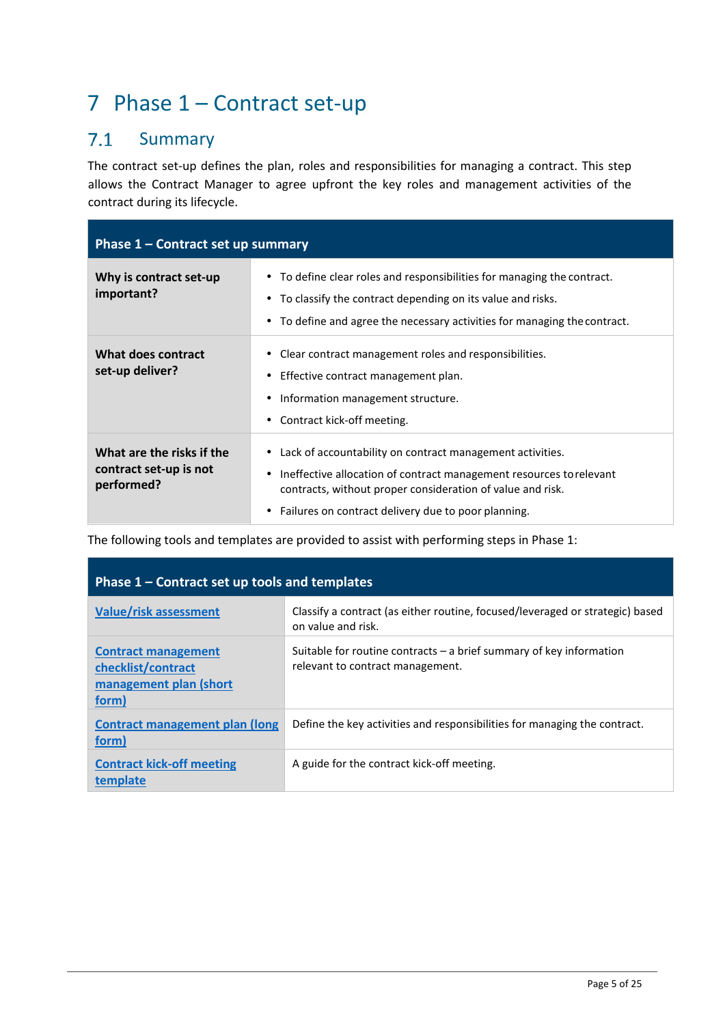# 7 Phase 1 – Contract set-up

#### $7.1$ Summary

The contract set-up defines the plan, roles and responsibilities for managing a contract. This step allows the Contract Manager to agree upfront the key roles and management activities of the contract during its lifecycle.

| Phase 1 – Contract set up summary                                 |                                                                                                                                                                                                                                                                    |  |  |
|-------------------------------------------------------------------|--------------------------------------------------------------------------------------------------------------------------------------------------------------------------------------------------------------------------------------------------------------------|--|--|
| Why is contract set-up<br>important?                              | • To define clear roles and responsibilities for managing the contract.<br>• To classify the contract depending on its value and risks.<br>• To define and agree the necessary activities for managing the contract.                                               |  |  |
| What does contract<br>set-up deliver?                             | Clear contract management roles and responsibilities.<br>Effective contract management plan.<br>Information management structure.<br>Contract kick-off meeting.                                                                                                    |  |  |
| What are the risks if the<br>contract set-up is not<br>performed? | Lack of accountability on contract management activities.<br>Ineffective allocation of contract management resources to relevant<br>contracts, without proper consideration of value and risk.<br>Failures on contract delivery due to poor planning.<br>$\bullet$ |  |  |

The following tools and templates are provided to assist with performing steps in Phase 1:

| Phase 1 – Contract set up tools and templates                                       |                                                                                                           |  |  |
|-------------------------------------------------------------------------------------|-----------------------------------------------------------------------------------------------------------|--|--|
| <b>Value/risk assessment</b>                                                        | Classify a contract (as either routine, focused/leveraged or strategic) based<br>on value and risk.       |  |  |
| <b>Contract management</b><br>checklist/contract<br>management plan (short<br>form) | Suitable for routine contracts $-$ a brief summary of key information<br>relevant to contract management. |  |  |
| <b>Contract management plan (long</b><br>form)                                      | Define the key activities and responsibilities for managing the contract.                                 |  |  |
| <b>Contract kick-off meeting</b><br>template                                        | A guide for the contract kick-off meeting.                                                                |  |  |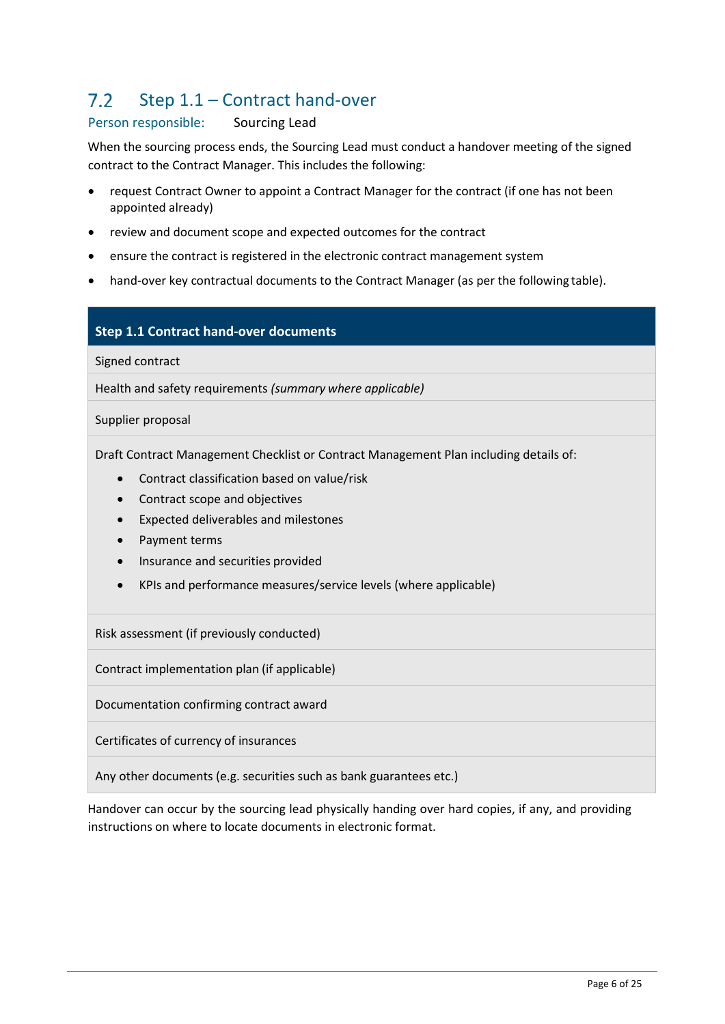### $7.2$ Step 1.1 – Contract hand-over

## Person responsible: Sourcing Lead

When the sourcing process ends, the Sourcing Lead must conduct a handover meeting of the signed contract to the Contract Manager. This includes the following:

- request Contract Owner to appoint a Contract Manager for the contract (if one has not been appointed already)
- review and document scope and expected outcomes for the contract
- ensure the contract is registered in the electronic contract management system
- hand-over key contractual documents to the Contract Manager (as per the following table).

## **Step 1.1 Contract hand-over documents**

Signed contract

Health and safety requirements *(summary where applicable)*

Supplier proposal

Draft Contract Management Checklist or Contract Management Plan including details of:

- Contract classification based on value/risk
- Contract scope and objectives
- Expected deliverables and milestones
- Payment terms
- Insurance and securities provided
- KPIs and performance measures/service levels (where applicable)

Risk assessment (if previously conducted)

Contract implementation plan (if applicable)

Documentation confirming contract award

Certificates of currency of insurances

Any other documents (e.g. securities such as bank guarantees etc.)

Handover can occur by the sourcing lead physically handing over hard copies, if any, and providing instructions on where to locate documents in electronic format.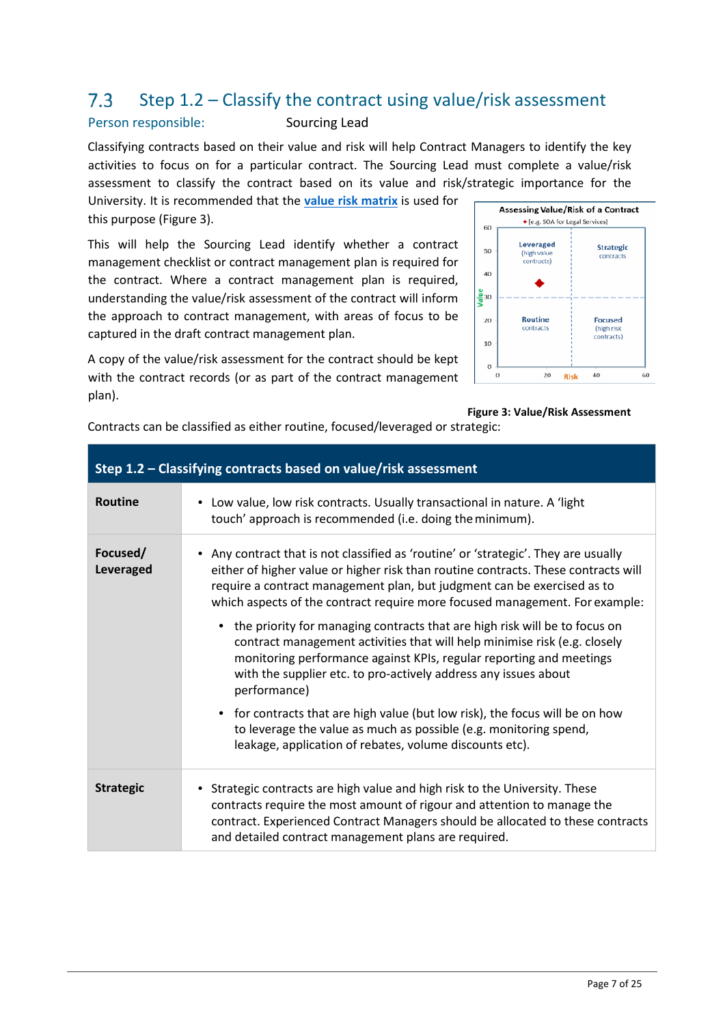#### <span id="page-6-0"></span>Step 1.2 – Classify the contract using value/risk assessment  $7.3$

## Person responsible: Sourcing Lead

Classifying contracts based on their value and risk will help Contract Managers to identify the key activities to focus on for a particular contract. The Sourcing Lead must complete a value/risk assessment to classify the contract based on its value and risk/strategic importance for the

University. It is recommended that the **[value risk matrix](https://policies.scu.edu.au/download.php?associated=1&id=418&version=1)** is used for this purpose (Figure 3).

This will help the Sourcing Lead identify whether a contract management checklist or contract management plan is required for the contract. Where a contract management plan is required, understanding the value/risk assessment of the contract will inform the approach to contract management, with areas of focus to be captured in the draft contract management plan.

A copy of the value/risk assessment for the contract should be kept with the contract records (or as part of the contract management plan).

**Assessing Value/Risk of a Contract** ◆ [e.g. SOA for Legal Services] 60 Leveraged **Strategic** 50 (high value<br>contracts) contracts  $40$  $\frac{2}{5}$ 30 Routine 20 **Focused** contracts (high risk contracts) 10  $\bf{0}$  $\mathbf{0}$ 20 Rick 40 60

### **Figure 3: Value/Risk Assessment**

Contracts can be classified as either routine, focused/leveraged or strategic:

| Step 1.2 - Classifying contracts based on value/risk assessment |                                                                                                                                                                                                                                                                                                                                     |  |  |
|-----------------------------------------------------------------|-------------------------------------------------------------------------------------------------------------------------------------------------------------------------------------------------------------------------------------------------------------------------------------------------------------------------------------|--|--|
| <b>Routine</b>                                                  | • Low value, low risk contracts. Usually transactional in nature. A 'light'<br>touch' approach is recommended (i.e. doing the minimum).                                                                                                                                                                                             |  |  |
| Focused/<br><b>Leveraged</b>                                    | • Any contract that is not classified as 'routine' or 'strategic'. They are usually<br>either of higher value or higher risk than routine contracts. These contracts will<br>require a contract management plan, but judgment can be exercised as to<br>which aspects of the contract require more focused management. For example: |  |  |
|                                                                 | • the priority for managing contracts that are high risk will be to focus on<br>contract management activities that will help minimise risk (e.g. closely<br>monitoring performance against KPIs, regular reporting and meetings<br>with the supplier etc. to pro-actively address any issues about<br>performance)                 |  |  |
|                                                                 | • for contracts that are high value (but low risk), the focus will be on how<br>to leverage the value as much as possible (e.g. monitoring spend,<br>leakage, application of rebates, volume discounts etc).                                                                                                                        |  |  |
| <b>Strategic</b>                                                | • Strategic contracts are high value and high risk to the University. These<br>contracts require the most amount of rigour and attention to manage the<br>contract. Experienced Contract Managers should be allocated to these contracts<br>and detailed contract management plans are required.                                    |  |  |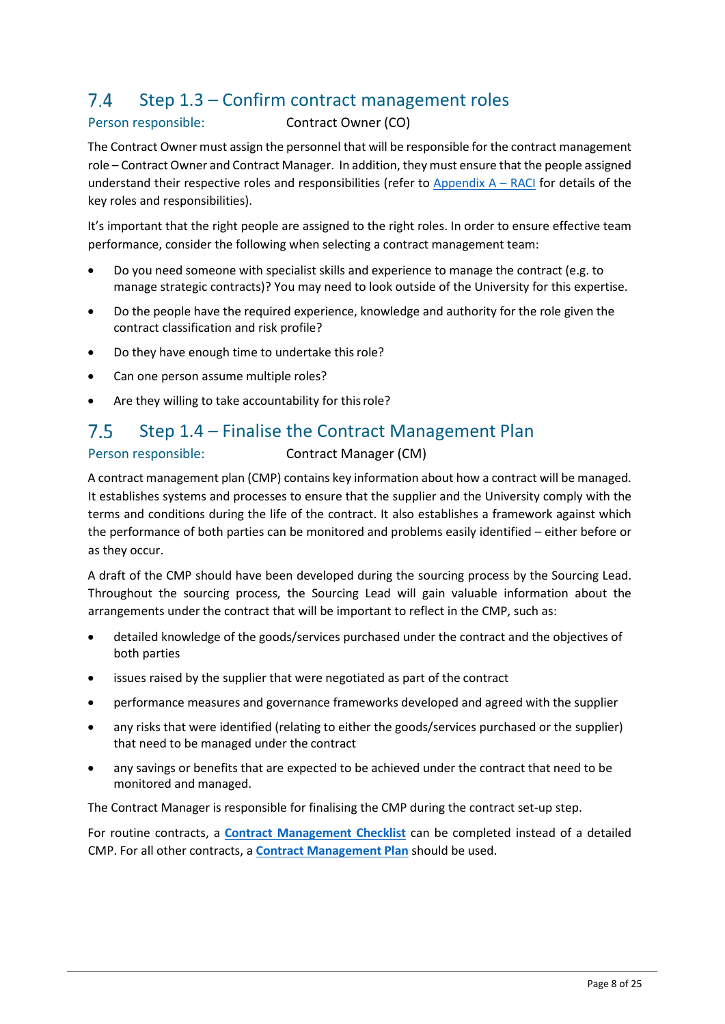#### $7.4$ Step 1.3 – Confirm contract management roles

## Person responsible: Contract Owner (CO)

The Contract Owner must assign the personnel that will be responsible for the contract management role – Contract Owner and Contract Manager. In addition, they must ensure that the people assigned understand their respective roles and responsibilities (refer to Appendix  $A - RACI$  for details of the key roles and responsibilities).

It's important that the right people are assigned to the right roles. In order to ensure effective team performance, consider the following when selecting a contract management team:

- Do you need someone with specialist skills and experience to manage the contract (e.g. to manage strategic contracts)? You may need to look outside of the University for this expertise.
- Do the people have the required experience, knowledge and authority for the role given the contract classification and risk profile?
- Do they have enough time to undertake this role?
- Can one person assume multiple roles?
- Are they willing to take accountability for this role?

#### $7.5$ Step 1.4 – Finalise the Contract Management Plan

## Person responsible: Contract Manager (CM)

A contract management plan (CMP) contains key information about how a contract will be managed. It establishes systems and processes to ensure that the supplier and the University comply with the terms and conditions during the life of the contract. It also establishes a framework against which the performance of both parties can be monitored and problems easily identified – either before or as they occur.

A draft of the CMP should have been developed during the sourcing process by the Sourcing Lead. Throughout the sourcing process, the Sourcing Lead will gain valuable information about the arrangements under the contract that will be important to reflect in the CMP, such as:

- detailed knowledge of the goods/services purchased under the contract and the objectives of both parties
- issues raised by the supplier that were negotiated as part of the contract
- performance measures and governance frameworks developed and agreed with the supplier
- any risks that were identified (relating to either the goods/services purchased or the supplier) that need to be managed under the contract
- any savings or benefits that are expected to be achieved under the contract that need to be monitored and managed.

The Contract Manager is responsible for finalising the CMP during the contract set-up step.

For routine contracts, a **[Contract Management Checklist](https://policies.scu.edu.au/download.php?associated=1&id=413&version=1)** can be completed instead of a detailed CMP. For all other contracts, a **[Contract Management Plan](https://policies.scu.edu.au/download.php?associated=1&id=412&version=1)** should be used.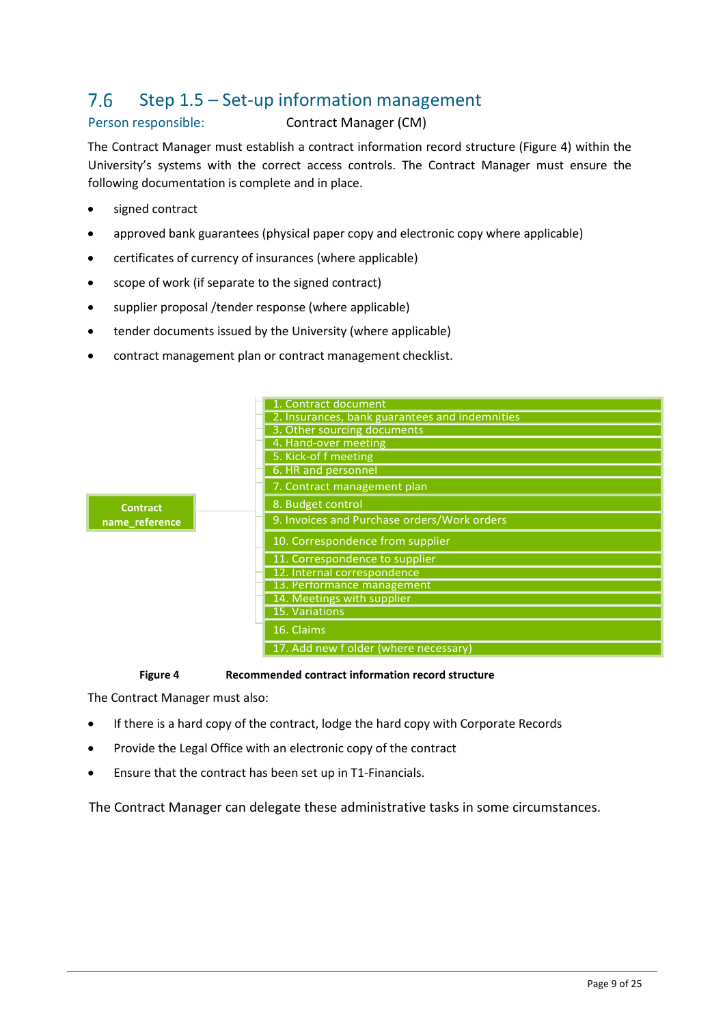#### Step 1.5 – Set-up information management 7.6

## Person responsible: Contract Manager (CM)

The Contract Manager must establish a contract information record structure (Figure 4) within the University's systems with the correct access controls. The Contract Manager must ensure the following documentation is complete and in place.

- signed contract
- approved bank guarantees (physical paper copy and electronic copy where applicable)
- certificates of currency of insurances (where applicable)
- scope of work (if separate to the signed contract)
- supplier proposal /tender response (where applicable)
- tender documents issued by the University (where applicable)
- contract management plan or contract management checklist.

|                 | 1. Contract document                           |
|-----------------|------------------------------------------------|
|                 | 2. Insurances, bank guarantees and indemnities |
|                 | 3. Other sourcing documents                    |
|                 | 4. Hand-over meeting                           |
|                 | 5. Kick-of f meeting                           |
|                 | 6. HR and personnel                            |
|                 | 7. Contract management plan                    |
| <b>Contract</b> | 8. Budget control                              |
| name_reference  | 9. Invoices and Purchase orders/Work orders    |
|                 | 10. Correspondence from supplier               |
|                 | 11. Correspondence to supplier                 |
|                 | 12. Internal correspondence                    |
|                 | 13. Performance management                     |
|                 | 14. Meetings with supplier                     |
|                 | 15. Variations                                 |
|                 | 16. Claims                                     |
|                 | 17. Add new f older (where necessary)          |
|                 |                                                |

### **Figure 4 Recommended contract information record structure**

The Contract Manager must also:

- If there is a hard copy of the contract, lodge the hard copy with Corporate Records
- Provide the Legal Office with an electronic copy of the contract
- Ensure that the contract has been set up in T1-Financials.

The Contract Manager can delegate these administrative tasks in some circumstances.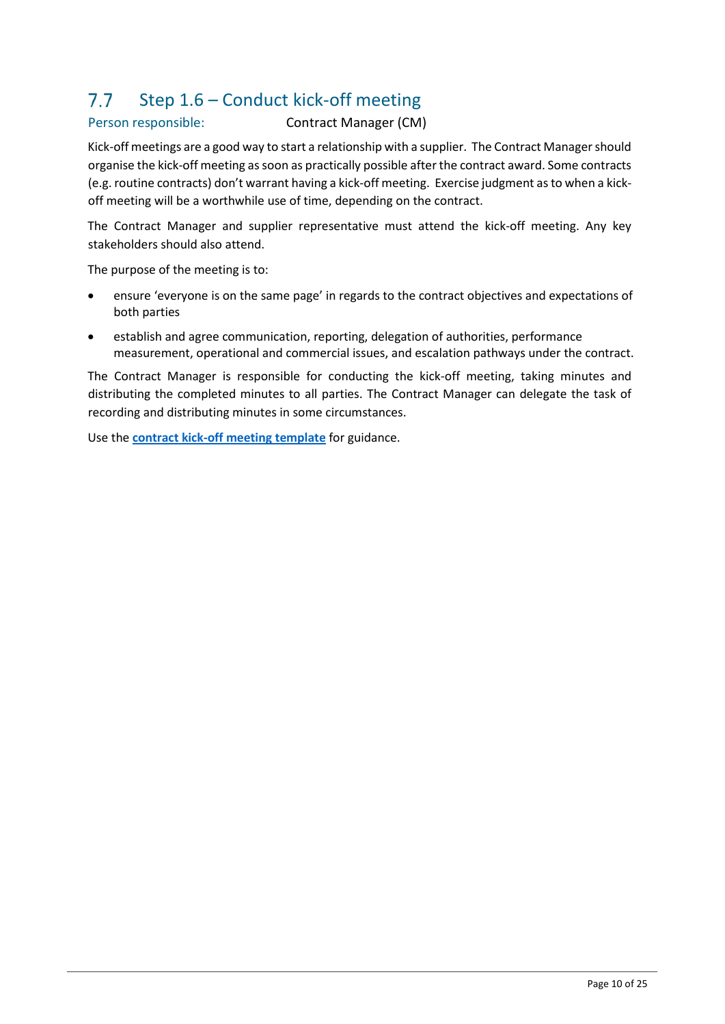### Step 1.6 – Conduct kick-off meeting  $7.7$

## Person responsible: Contract Manager (CM)

Kick-off meetings are a good way to start a relationship with a supplier. The Contract Manager should organise the kick-off meeting as soon as practically possible after the contract award. Some contracts (e.g. routine contracts) don't warrant having a kick-off meeting. Exercise judgment as to when a kickoff meeting will be a worthwhile use of time, depending on the contract.

The Contract Manager and supplier representative must attend the kick-off meeting. Any key stakeholders should also attend.

The purpose of the meeting is to:

- ensure 'everyone is on the same page' in regards to the contract objectives and expectations of both parties
- establish and agree communication, reporting, delegation of authorities, performance measurement, operational and commercial issues, and escalation pathways under the contract.

The Contract Manager is responsible for conducting the kick-off meeting, taking minutes and distributing the completed minutes to all parties. The Contract Manager can delegate the task of recording and distributing minutes in some circumstances.

Use the **[contract kick-off meeting template](https://policies.scu.edu.au/download.php?associated=1&id=414&version=1)** for guidance.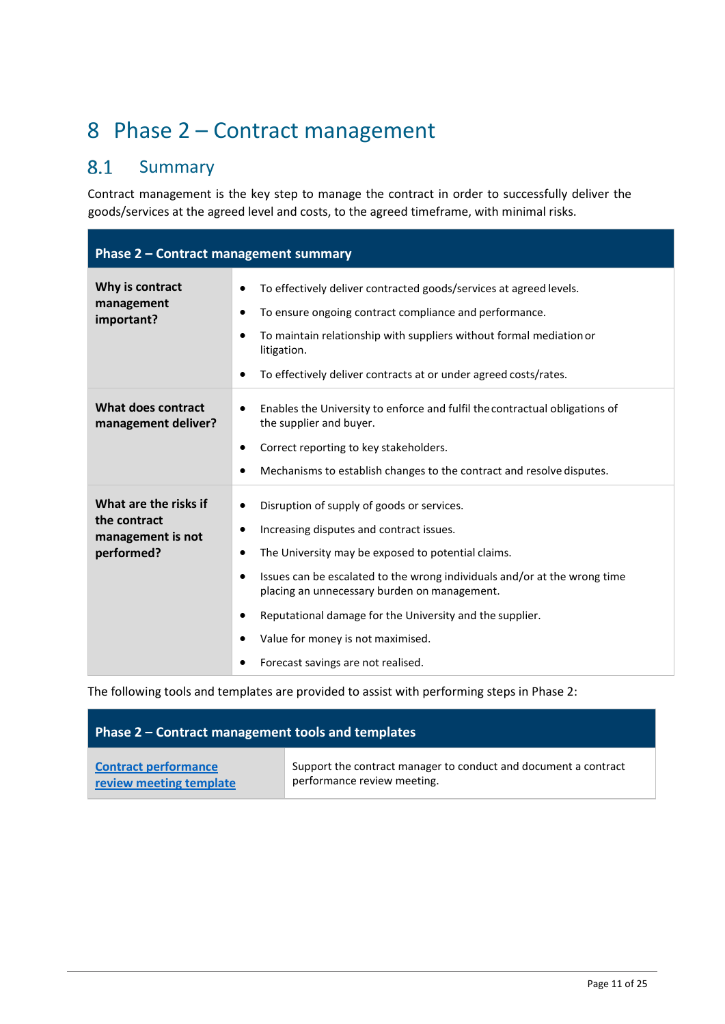# 8 Phase 2 – Contract management

### 8.1 Summary

Contract management is the key step to manage the contract in order to successfully deliver the goods/services at the agreed level and costs, to the agreed timeframe, with minimal risks.

| Phase 2 - Contract management summary                                    |                                                                                                                                                                                                                                                                                                                                                                                                                               |  |  |
|--------------------------------------------------------------------------|-------------------------------------------------------------------------------------------------------------------------------------------------------------------------------------------------------------------------------------------------------------------------------------------------------------------------------------------------------------------------------------------------------------------------------|--|--|
| Why is contract<br>management<br>important?                              | To effectively deliver contracted goods/services at agreed levels.<br>To ensure ongoing contract compliance and performance.<br>To maintain relationship with suppliers without formal mediation or<br>litigation.<br>To effectively deliver contracts at or under agreed costs/rates.                                                                                                                                        |  |  |
| What does contract<br>management deliver?                                | Enables the University to enforce and fulfil the contractual obligations of<br>the supplier and buyer.<br>Correct reporting to key stakeholders.<br>Mechanisms to establish changes to the contract and resolve disputes.                                                                                                                                                                                                     |  |  |
| What are the risks if<br>the contract<br>management is not<br>performed? | Disruption of supply of goods or services.<br>$\bullet$<br>Increasing disputes and contract issues.<br>The University may be exposed to potential claims.<br>Issues can be escalated to the wrong individuals and/or at the wrong time<br>placing an unnecessary burden on management.<br>Reputational damage for the University and the supplier.<br>Value for money is not maximised.<br>Forecast savings are not realised. |  |  |

The following tools and templates are provided to assist with performing steps in Phase 2:

| Phase 2 – Contract management tools and templates |                                                                 |  |  |
|---------------------------------------------------|-----------------------------------------------------------------|--|--|
| <b>Contract performance</b>                       | Support the contract manager to conduct and document a contract |  |  |
| review meeting template                           | performance review meeting.                                     |  |  |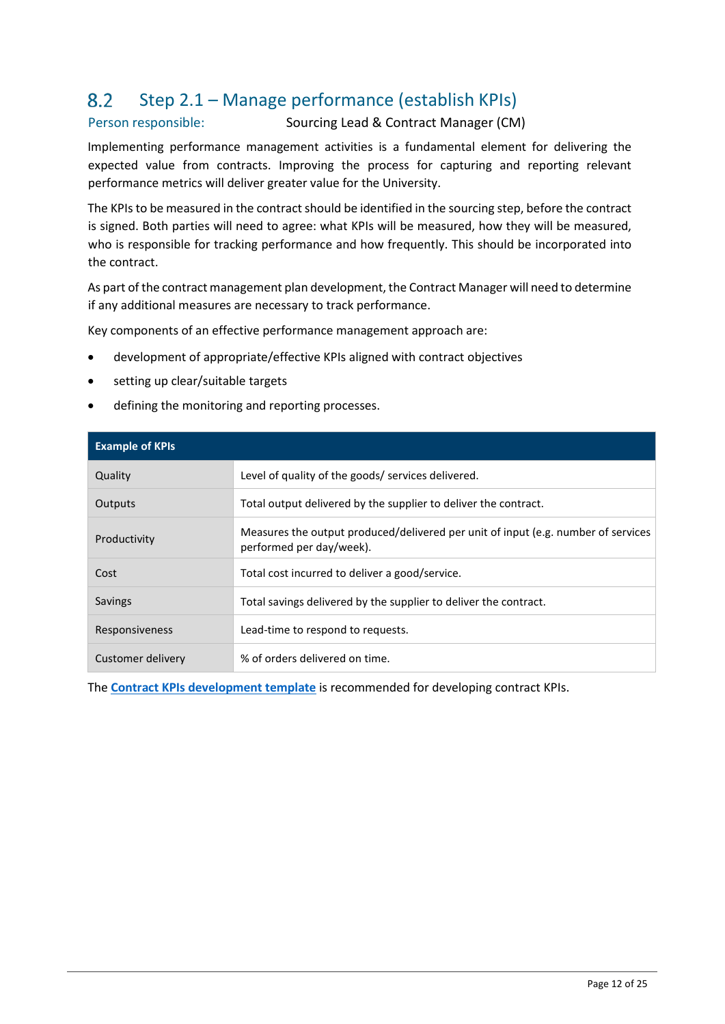### Step 2.1 – Manage performance (establish KPIs) 8.2

## Person responsible: Sourcing Lead & Contract Manager (CM)

Implementing performance management activities is a fundamental element for delivering the expected value from contracts. Improving the process for capturing and reporting relevant performance metrics will deliver greater value for the University.

The KPIs to be measured in the contract should be identified in the sourcing step, before the contract is signed. Both parties will need to agree: what KPIs will be measured, how they will be measured, who is responsible for tracking performance and how frequently. This should be incorporated into the contract.

As part of the contract management plan development, the Contract Manager will need to determine if any additional measures are necessary to track performance.

Key components of an effective performance management approach are:

- development of appropriate/effective KPIs aligned with contract objectives
- setting up clear/suitable targets
- defining the monitoring and reporting processes.

| <b>Example of KPIs</b>   |                                                                                                               |
|--------------------------|---------------------------------------------------------------------------------------------------------------|
| Quality                  | Level of quality of the goods/ services delivered.                                                            |
| Outputs                  | Total output delivered by the supplier to deliver the contract.                                               |
| Productivity             | Measures the output produced/delivered per unit of input (e.g. number of services<br>performed per day/week). |
| Cost                     | Total cost incurred to deliver a good/service.                                                                |
| Savings                  | Total savings delivered by the supplier to deliver the contract.                                              |
| Responsiveness           | Lead-time to respond to requests.                                                                             |
| <b>Customer delivery</b> | % of orders delivered on time.                                                                                |

The **[Contract KPIs development template](https://policies.scu.edu.au/download.php?associated=1&id=415&version=1)** is recommended for developing contract KPIs.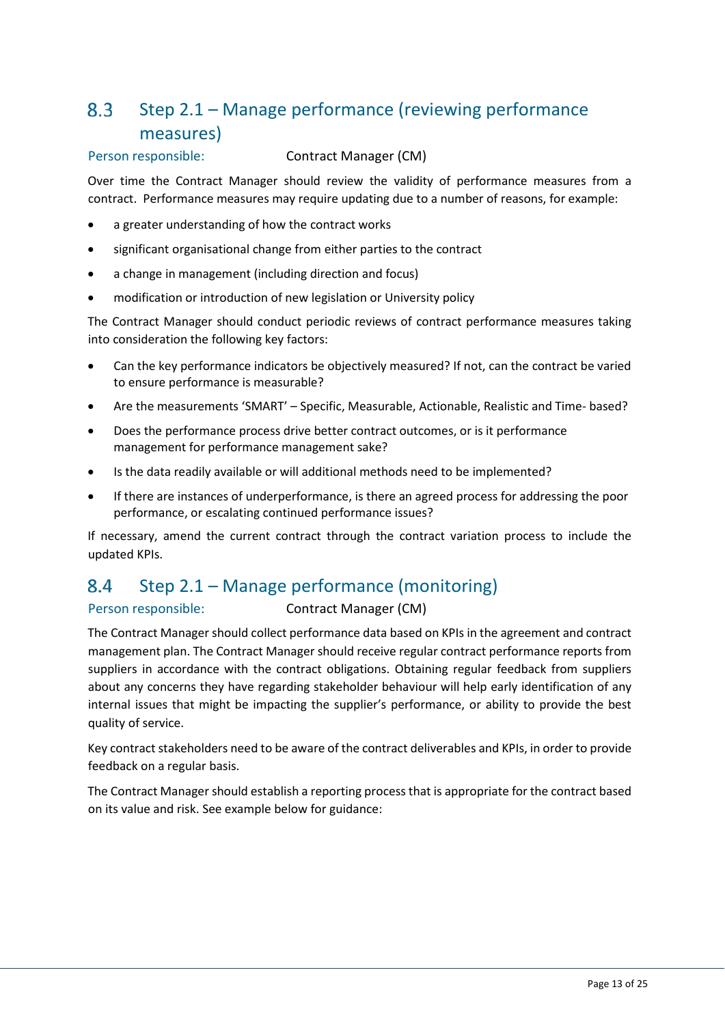### Step 2.1 – Manage performance (reviewing performance  $8.3$ measures)

## Person responsible: Contract Manager (CM)

Over time the Contract Manager should review the validity of performance measures from a contract. Performance measures may require updating due to a number of reasons, for example:

- a greater understanding of how the contract works
- significant organisational change from either parties to the contract
- a change in management (including direction and focus)
- modification or introduction of new legislation or University policy

The Contract Manager should conduct periodic reviews of contract performance measures taking into consideration the following key factors:

- Can the key performance indicators be objectively measured? If not, can the contract be varied to ensure performance is measurable?
- Are the measurements 'SMART' Specific, Measurable, Actionable, Realistic and Time- based?
- Does the performance process drive better contract outcomes, or is it performance management for performance management sake?
- Is the data readily available or will additional methods need to be implemented?
- If there are instances of underperformance, is there an agreed process for addressing the poor performance, or escalating continued performance issues?

If necessary, amend the current contract through the contract variation process to include the updated KPIs.

### Step 2.1 – Manage performance (monitoring) 8.4

Person responsible: Contract Manager (CM)

The Contract Manager should collect performance data based on KPIs in the agreement and contract management plan. The Contract Manager should receive regular contract performance reports from suppliers in accordance with the contract obligations. Obtaining regular feedback from suppliers about any concerns they have regarding stakeholder behaviour will help early identification of any internal issues that might be impacting the supplier's performance, or ability to provide the best quality of service.

Key contract stakeholders need to be aware of the contract deliverables and KPIs, in order to provide feedback on a regular basis.

The Contract Manager should establish a reporting process that is appropriate for the contract based on its value and risk. See example below for guidance: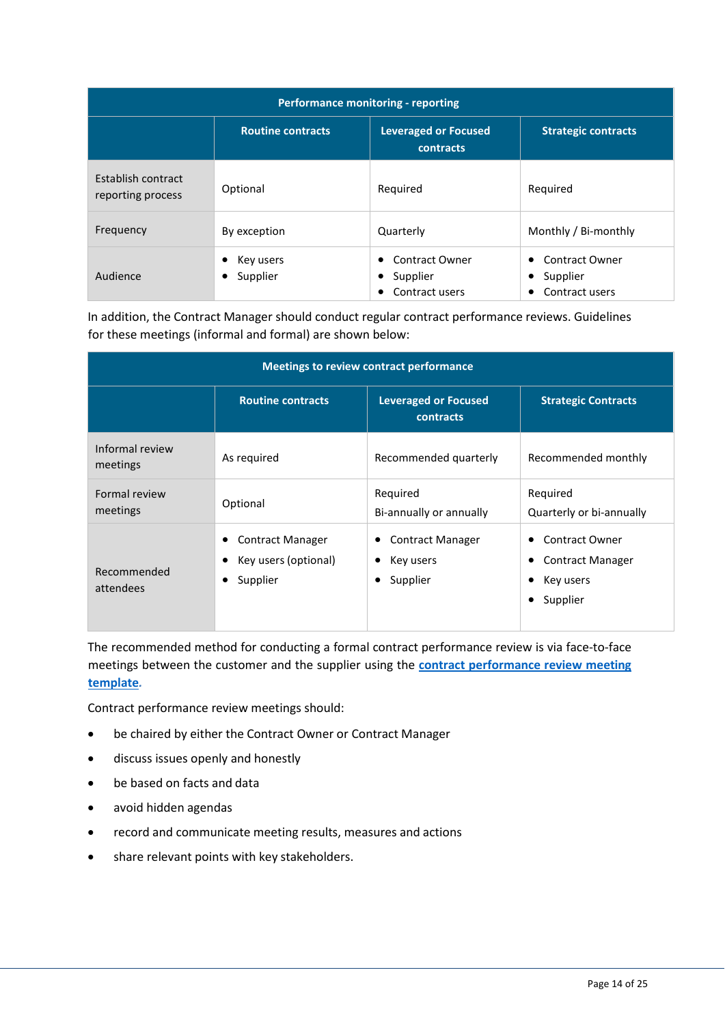| <b>Performance monitoring - reporting</b> |                          |                                                               |                                                          |
|-------------------------------------------|--------------------------|---------------------------------------------------------------|----------------------------------------------------------|
|                                           | <b>Routine contracts</b> | <b>Leveraged or Focused</b><br>contracts                      | <b>Strategic contracts</b>                               |
| Establish contract<br>reporting process   | Optional                 | Required                                                      | Required                                                 |
| Frequency                                 | By exception             | Quarterly                                                     | Monthly / Bi-monthly                                     |
| Audience                                  | Key users<br>Supplier    | <b>Contract Owner</b><br>٠<br>Supplier<br>٠<br>Contract users | <b>Contract Owner</b><br>٠<br>Supplier<br>Contract users |

In addition, the Contract Manager should conduct regular contract performance reviews. Guidelines for these meetings (informal and formal) are shown below:

| Meetings to review contract performance |                                                                  |                                                  |                                                                    |
|-----------------------------------------|------------------------------------------------------------------|--------------------------------------------------|--------------------------------------------------------------------|
|                                         | <b>Routine contracts</b>                                         | <b>Leveraged or Focused</b><br>contracts         | <b>Strategic Contracts</b>                                         |
| Informal review<br>meetings             | As required                                                      | Recommended quarterly                            | Recommended monthly                                                |
| Formal review<br>meetings               | Optional                                                         | Required<br>Bi-annually or annually              | Required<br>Quarterly or bi-annually                               |
| Recommended<br>attendees                | <b>Contract Manager</b><br>Key users (optional)<br>Supplier<br>٠ | <b>Contract Manager</b><br>Key users<br>Supplier | Contract Owner<br><b>Contract Manager</b><br>Key users<br>Supplier |

The recommended method for conducting a formal contract performance review is via face-to-face meetings between the customer and the supplier using the **[contract performance review meeting](https://policies.scu.edu.au/download.php?associated=1&id=416&version=2)  [template](https://policies.scu.edu.au/download.php?associated=1&id=416&version=2)***.*

Contract performance review meetings should:

- be chaired by either the Contract Owner or Contract Manager
- discuss issues openly and honestly
- be based on facts and data
- avoid hidden agendas
- record and communicate meeting results, measures and actions
- share relevant points with key stakeholders.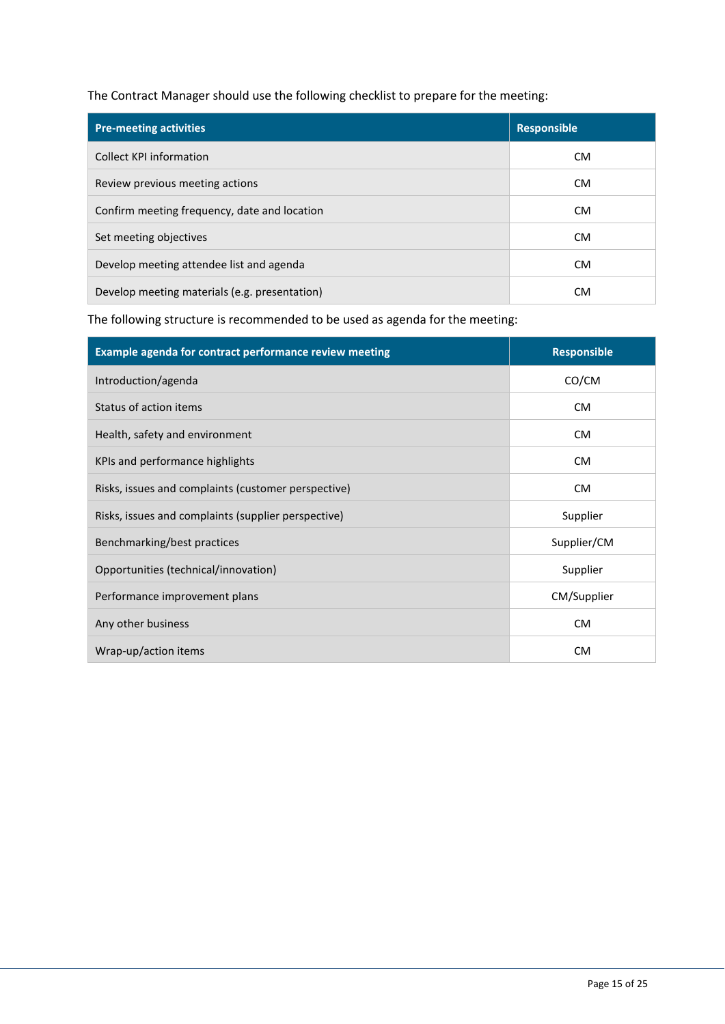The Contract Manager should use the following checklist to prepare for the meeting:

| <b>Pre-meeting activities</b>                 | <b>Responsible</b> |  |
|-----------------------------------------------|--------------------|--|
| Collect KPI information                       | CM.                |  |
| Review previous meeting actions               | CM.                |  |
| Confirm meeting frequency, date and location  | <b>CM</b>          |  |
| Set meeting objectives                        | CM.                |  |
| Develop meeting attendee list and agenda      | <b>CM</b>          |  |
| Develop meeting materials (e.g. presentation) | CM.                |  |

The following structure is recommended to be used as agenda for the meeting:

| Example agenda for contract performance review meeting | <b>Responsible</b> |  |
|--------------------------------------------------------|--------------------|--|
| Introduction/agenda                                    | CO/CM              |  |
| Status of action items                                 | <b>CM</b>          |  |
| Health, safety and environment                         | <b>CM</b>          |  |
| KPIs and performance highlights                        | <b>CM</b>          |  |
| Risks, issues and complaints (customer perspective)    | <b>CM</b>          |  |
| Risks, issues and complaints (supplier perspective)    | Supplier           |  |
| Benchmarking/best practices                            | Supplier/CM        |  |
| Opportunities (technical/innovation)                   | Supplier           |  |
| Performance improvement plans                          | CM/Supplier        |  |
| Any other business                                     | <b>CM</b>          |  |
| Wrap-up/action items                                   | <b>CM</b>          |  |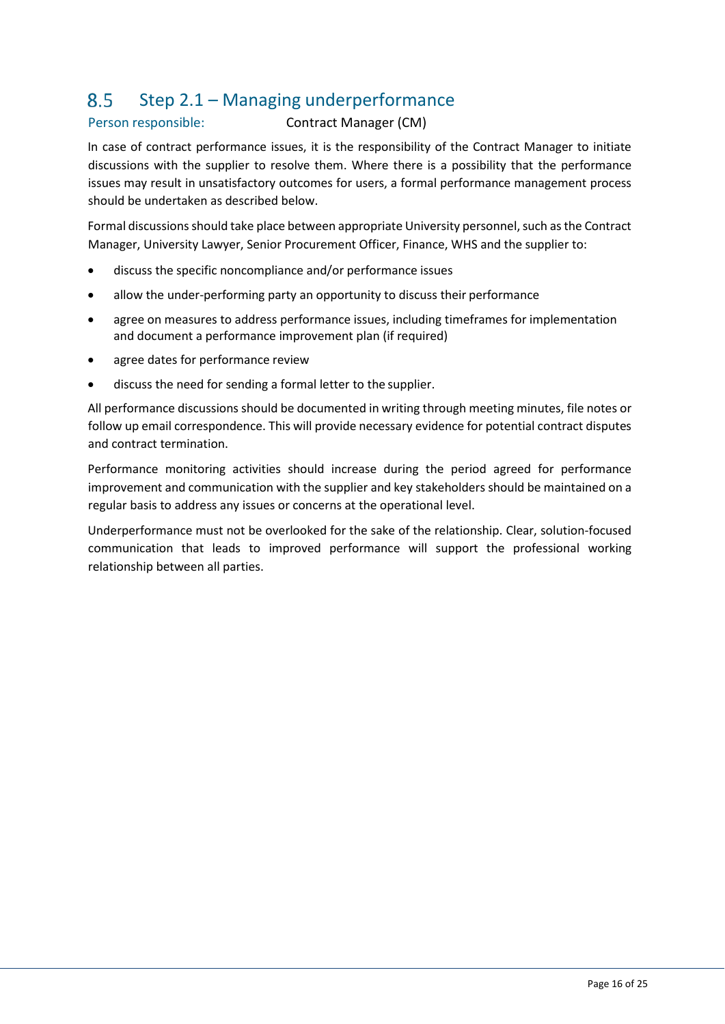### Step 2.1 – Managing underperformance 8.5

## Person responsible: Contract Manager (CM)

In case of contract performance issues, it is the responsibility of the Contract Manager to initiate discussions with the supplier to resolve them. Where there is a possibility that the performance issues may result in unsatisfactory outcomes for users, a formal performance management process should be undertaken as described below.

Formal discussions should take place between appropriate University personnel, such as the Contract Manager, University Lawyer, Senior Procurement Officer, Finance, WHS and the supplier to:

- discuss the specific noncompliance and/or performance issues
- allow the under-performing party an opportunity to discuss their performance
- agree on measures to address performance issues, including timeframes for implementation and document a performance improvement plan (if required)
- agree dates for performance review
- discuss the need for sending a formal letter to the supplier.

All performance discussions should be documented in writing through meeting minutes, file notes or follow up email correspondence. This will provide necessary evidence for potential contract disputes and contract termination.

Performance monitoring activities should increase during the period agreed for performance improvement and communication with the supplier and key stakeholders should be maintained on a regular basis to address any issues or concerns at the operational level.

Underperformance must not be overlooked for the sake of the relationship. Clear, solution-focused communication that leads to improved performance will support the professional working relationship between all parties.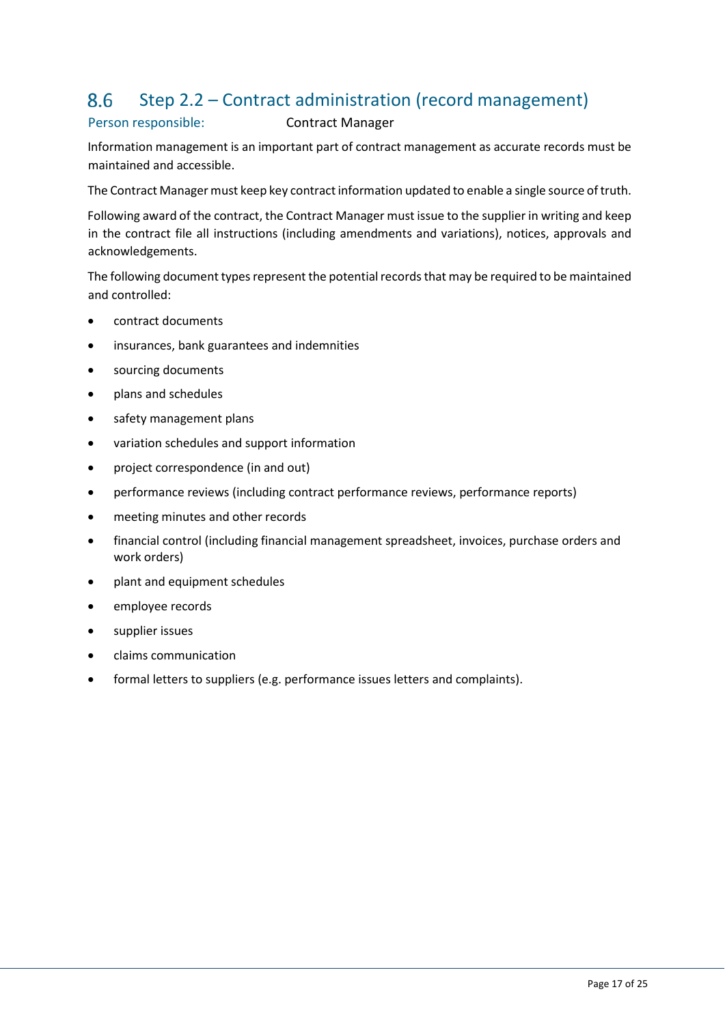#### Step 2.2 – Contract administration (record management) 8.6

## Person responsible: Contract Manager

Information management is an important part of contract management as accurate records must be maintained and accessible.

The Contract Manager must keep key contract information updated to enable a single source of truth.

Following award of the contract, the Contract Manager must issue to the supplier in writing and keep in the contract file all instructions (including amendments and variations), notices, approvals and acknowledgements.

The following document types represent the potential records that may be required to be maintained and controlled:

- contract documents
- insurances, bank guarantees and indemnities
- sourcing documents
- plans and schedules
- safety management plans
- variation schedules and support information
- project correspondence (in and out)
- performance reviews (including contract performance reviews, performance reports)
- meeting minutes and other records
- financial control (including financial management spreadsheet, invoices, purchase orders and work orders)
- plant and equipment schedules
- employee records
- supplier issues
- claims communication
- formal letters to suppliers (e.g. performance issues letters and complaints).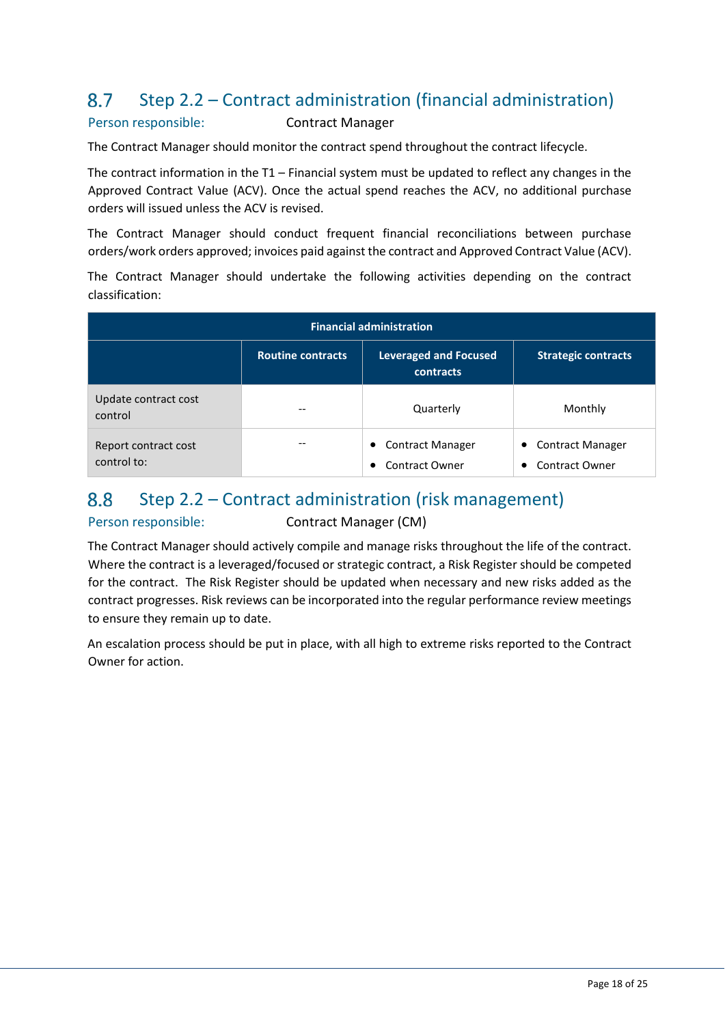#### 8.7 Step 2.2 – Contract administration (financial administration)

## Person responsible: Contract Manager

The Contract Manager should monitor the contract spend throughout the contract lifecycle.

The contract information in the T1 – Financial system must be updated to reflect any changes in the Approved Contract Value (ACV). Once the actual spend reaches the ACV, no additional purchase orders will issued unless the ACV is revised.

The Contract Manager should conduct frequent financial reconciliations between purchase orders/work orders approved; invoices paid against the contract and Approved Contract Value (ACV).

The Contract Manager should undertake the following activities depending on the contract classification:

| <b>Financial administration</b>     |                          |                                                                    |                                                                    |  |  |
|-------------------------------------|--------------------------|--------------------------------------------------------------------|--------------------------------------------------------------------|--|--|
|                                     | <b>Routine contracts</b> | <b>Leveraged and Focused</b><br>contracts                          | <b>Strategic contracts</b>                                         |  |  |
| Update contract cost<br>control     | --                       | Quarterly                                                          | Monthly                                                            |  |  |
| Report contract cost<br>control to: | --                       | <b>Contract Manager</b><br>$\bullet$<br><b>Contract Owner</b><br>٠ | <b>Contract Manager</b><br>٠<br><b>Contract Owner</b><br>$\bullet$ |  |  |

### Step 2.2 – Contract administration (risk management) 8.8

Person responsible: Contract Manager (CM)

The Contract Manager should actively compile and manage risks throughout the life of the contract. Where the contract is a leveraged/focused or strategic contract, a Risk Register should be competed for the contract. The [Risk Register s](http://www.hpw.qld.gov.au/aboutus/ReportsPublications/Guidelines/Pages/ContractManagementGuidelines.aspx)hould be updated when necessary and new risks added as the contract progresses. Risk reviews can be incorporated into the regular performance review meetings to ensure they remain up to date.

An escalation process should be put in place, with all high to extreme risks reported to the Contract Owner for action.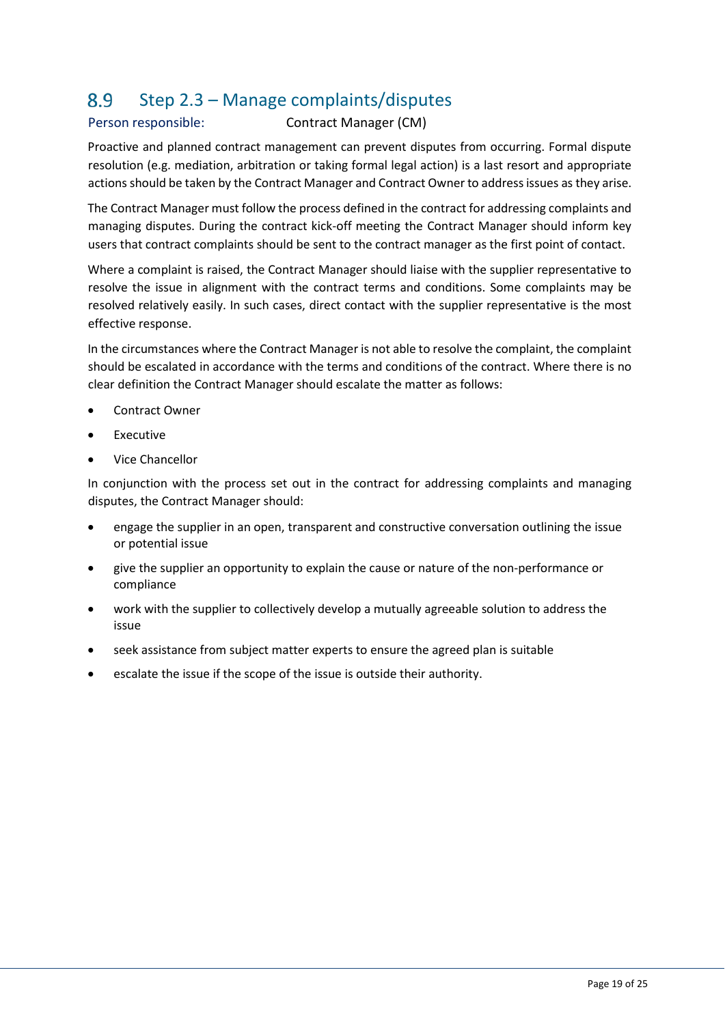#### 8.9 Step 2.3 – Manage complaints/disputes

## Person responsible: Contract Manager (CM)

Proactive and planned contract management can prevent disputes from occurring. Formal dispute resolution (e.g. mediation, arbitration or taking formal legal action) is a last resort and appropriate actions should be taken by the Contract Manager and Contract Owner to address issues as they arise.

The Contract Manager must follow the process defined in the contract for addressing complaints and managing disputes. During the contract kick-off meeting the Contract Manager should inform key users that contract complaints should be sent to the contract manager as the first point of contact.

Where a complaint is raised, the Contract Manager should liaise with the supplier representative to resolve the issue in alignment with the contract terms and conditions. Some complaints may be resolved relatively easily. In such cases, direct contact with the supplier representative is the most effective response.

In the circumstances where the Contract Manager is not able to resolve the complaint, the complaint should be escalated in accordance with the terms and conditions of the contract. Where there is no clear definition the Contract Manager should escalate the matter as follows:

- Contract Owner
- **Executive**
- Vice Chancellor

In conjunction with the process set out in the contract for addressing complaints and managing disputes, the Contract Manager should:

- engage the supplier in an open, transparent and constructive conversation outlining the issue or potential issue
- give the supplier an opportunity to explain the cause or nature of the non-performance or compliance
- work with the supplier to collectively develop a mutually agreeable solution to address the issue
- seek assistance from subject matter experts to ensure the agreed plan is suitable
- escalate the issue if the scope of the issue is outside their authority.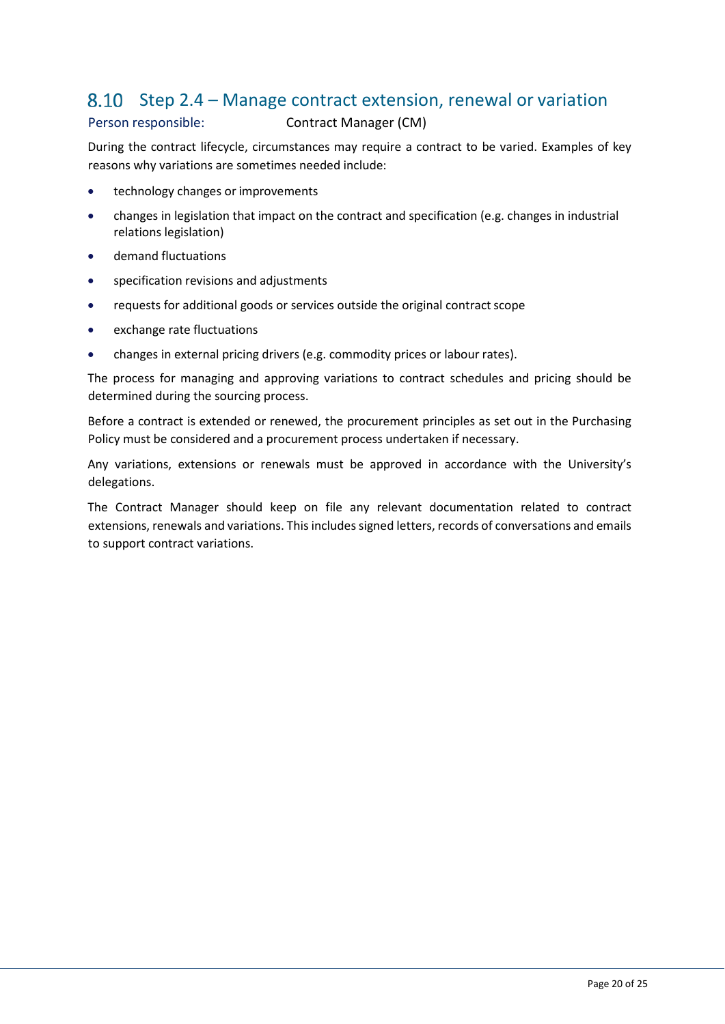## Step 2.4 – Manage contract extension, renewal or variation

### Person responsible: Contract Manager (CM)

During the contract lifecycle, circumstances may require a contract to be varied. Examples of key reasons why variations are sometimes needed include:

- technology changes or improvements
- changes in legislation that impact on the contract and specification (e.g. changes in industrial relations legislation)
- demand fluctuations
- specification revisions and adjustments
- requests for additional goods or services outside the original contract scope
- exchange rate fluctuations
- changes in external pricing drivers (e.g. commodity prices or labour rates).

The process for managing and approving variations to contract schedules and pricing should be determined during the sourcing process.

Before a contract is extended or renewed, the procurement principles as set out in the Purchasing Policy must be considered and a procurement process undertaken if necessary.

Any variations, extensions or renewals must be approved in accordance with the University's delegations.

The Contract Manager should keep on file any relevant documentation related to contract extensions, renewals and variations. This includes signed letters, records of conversations and emails to support contract variations.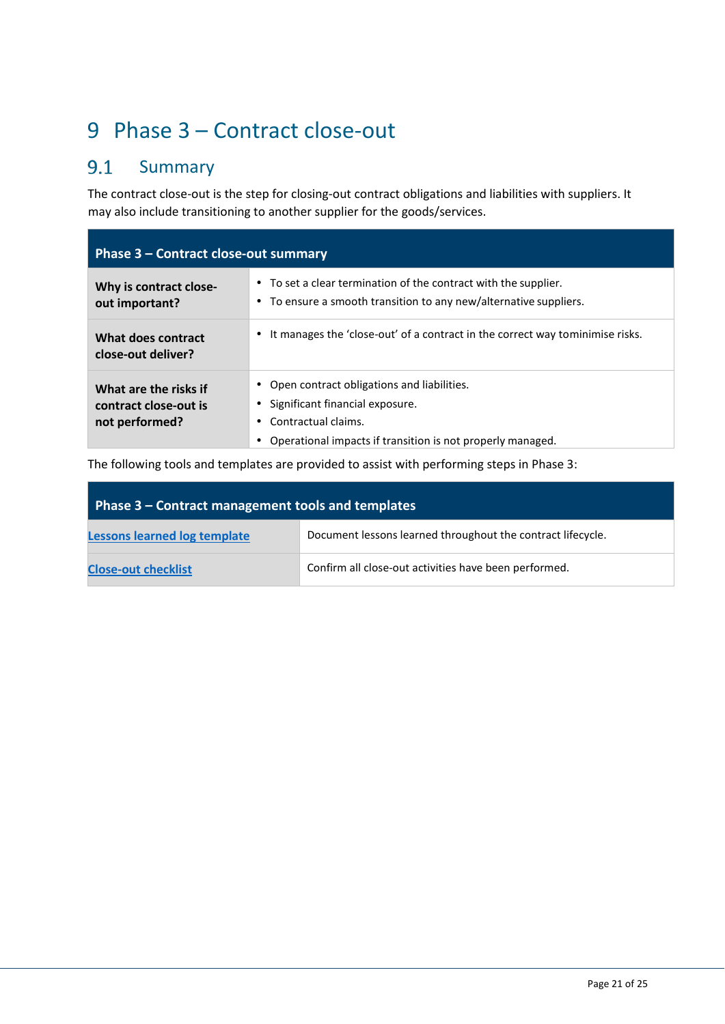# 9 Phase 3 – Contract close-out

### $9.1$ Summary

The contract close-out is the step for closing-out contract obligations and liabilities with suppliers. It may also include transitioning to another supplier for the goods/services.

| Phase 3 – Contract close-out summary                             |                                                                                                                                                                    |  |  |  |
|------------------------------------------------------------------|--------------------------------------------------------------------------------------------------------------------------------------------------------------------|--|--|--|
| Why is contract close-<br>out important?                         | • To set a clear termination of the contract with the supplier.<br>• To ensure a smooth transition to any new/alternative suppliers.                               |  |  |  |
| What does contract<br>close-out deliver?                         | It manages the 'close-out' of a contract in the correct way tominimise risks.                                                                                      |  |  |  |
| What are the risks if<br>contract close-out is<br>not performed? | Open contract obligations and liabilities.<br>Significant financial exposure.<br>Contractual claims.<br>Operational impacts if transition is not properly managed. |  |  |  |

The following tools and templates are provided to assist with performing steps in Phase 3:

| Phase 3 – Contract management tools and templates |                                                             |  |  |
|---------------------------------------------------|-------------------------------------------------------------|--|--|
| <b>Lessons learned log template</b>               | Document lessons learned throughout the contract lifecycle. |  |  |
| <b>Close-out checklist</b>                        | Confirm all close-out activities have been performed.       |  |  |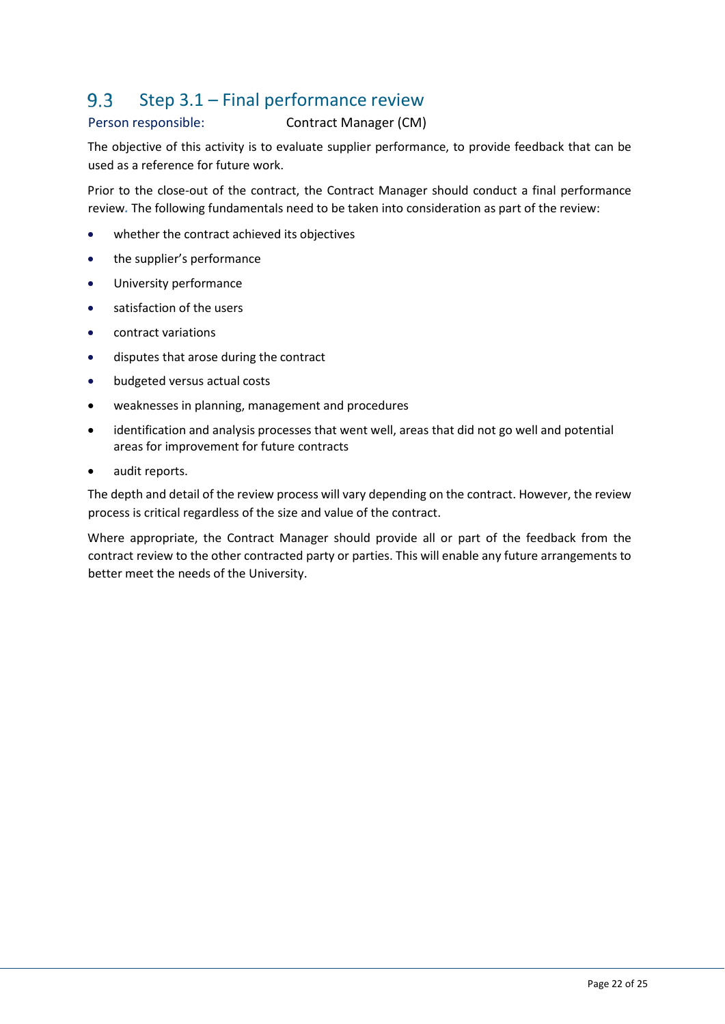#### Step 3.1 – Final performance review  $9.3$

## Person responsible: Contract Manager (CM)

The objective of this activity is to evaluate supplier performance, to provide feedback that can be used as a reference for future work.

Prior to the close-out of the contract, the Contract Manager should conduct a final performance review*.* The following fundamentals need to be taken into consideration as part of the review:

- whether the contract achieved its objectives
- the supplier's performance
- University performance
- satisfaction of the users
- contract variations
- disputes that arose during the contract
- budgeted versus actual costs
- weaknesses in planning, management and procedures
- identification and analysis processes that went well, areas that did not go well and potential areas for improvement for future contracts
- audit reports.

The depth and detail of the review process will vary depending on the contract. However, the review process is critical regardless of the size and value of the contract.

Where appropriate, the Contract Manager should provide all or part of the feedback from the contract review to the other contracted party or parties. This will enable any future arrangements to better meet the needs of the University.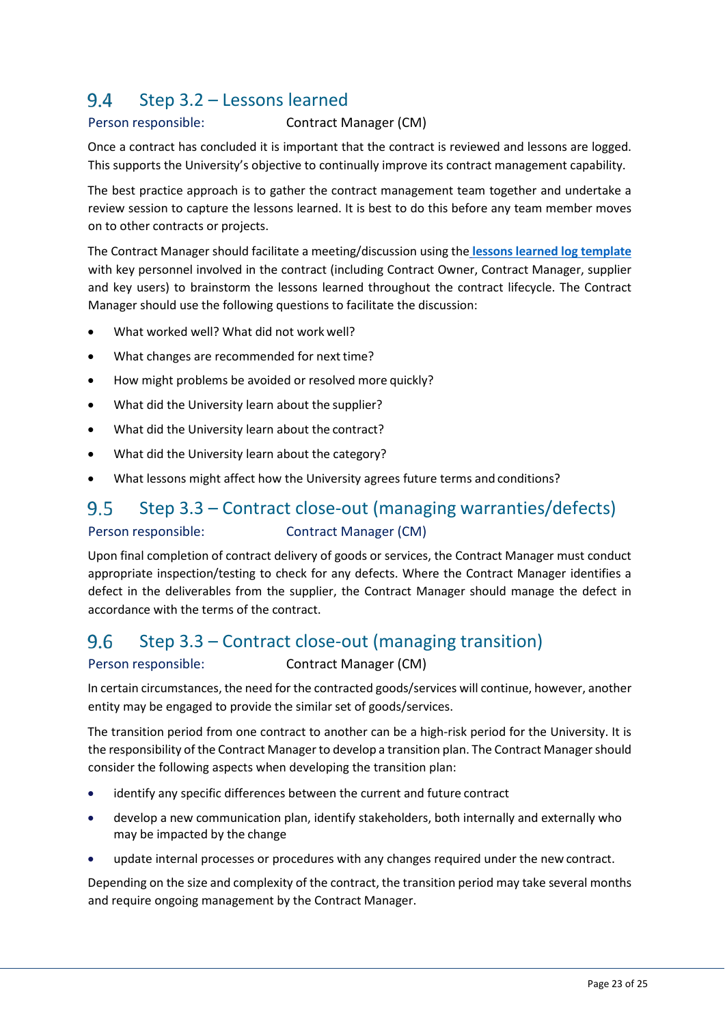### 9.4 Step 3.2 – Lessons learned

## Person responsible: Contract Manager (CM)

Once a contract has concluded it is important that the contract is reviewed and lessons are logged. This supports the University's objective to continually improve its contract management capability.

The best practice approach is to gather the contract management team together and undertake a review session to capture the lessons learned. It is best to do this before any team member moves on to other contracts or projects.

The Contract Manager should facilitate a meeting/discussion using the **[lessons learned log template](https://policies.scu.edu.au/download.php?associated=1&id=417&version=1)** with key personnel involved in the contract (including Contract Owner, Contract Manager, supplier and key users) to brainstorm the lessons learned throughout the contract lifecycle. The Contract Manager should use the following questions to facilitate the discussion:

- What worked well? What did not work well?
- What changes are recommended for next time?
- How might problems be avoided or resolved more quickly?
- What did the University learn about the supplier?
- What did the University learn about the contract?
- What did the University learn about the category?
- What lessons might affect how the University agrees future terms and conditions?

### $9.5$ Step 3.3 – Contract close-out (managing warranties/defects)

Person responsible: Contract Manager (CM)

Upon final completion of contract delivery of goods or services, the Contract Manager must conduct appropriate inspection/testing to check for any defects. Where the Contract Manager identifies a defect in the deliverables from the supplier, the Contract Manager should manage the defect in accordance with the terms of the contract.

#### 9.6 Step 3.3 – Contract close-out (managing transition)

Person responsible: Contract Manager (CM)

In certain circumstances, the need for the contracted goods/services will continue, however, another entity may be engaged to provide the similar set of goods/services.

The transition period from one contract to another can be a high-risk period for the University. It is the responsibility of the Contract Manager to develop a transition plan. The Contract Manager should consider the following aspects when developing the transition plan:

- identify any specific differences between the current and future contract
- develop a new communication plan, identify stakeholders, both internally and externally who may be impacted by the change
- update internal processes or procedures with any changes required under the new contract.

Depending on the size and complexity of the contract, the transition period may take several months and require ongoing management by the Contract Manager.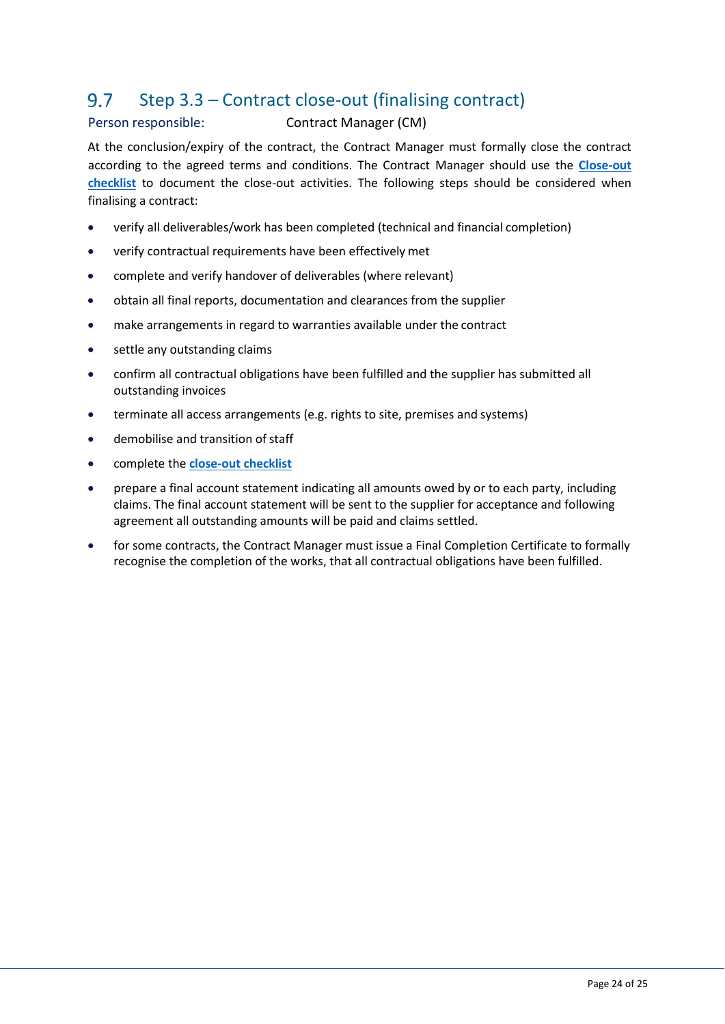#### 9.7 Step 3.3 – Contract close-out (finalising contract)

## Person responsible: Contract Manager (CM)

At the conclusion/expiry of the contract, the Contract Manager must formally close the contract according to the agreed terms and conditions. The Contract Manager should use the **[Close-out](https://policies.scu.edu.au/download.php?associated=1&id=411&version=1)  [checklist](https://policies.scu.edu.au/download.php?associated=1&id=411&version=1)** to document the close-out activities. The following steps should be considered when finalising a contract:

- verify all deliverables/work has been completed (technical and financial completion)
- verify contractual requirements have been effectively met
- complete and verify handover of deliverables (where relevant)
- obtain all final reports, documentation and clearances from the supplier
- make arrangements in regard to warranties available under the contract
- settle any outstanding claims
- confirm all contractual obligations have been fulfilled and the supplier has submitted all outstanding invoices
- terminate all access arrangements (e.g. rights to site, premises and systems)
- $\bullet$  demobilise and transition of staff
- complete the **[close-out checklist](https://policies.scu.edu.au/download.php?associated=1&id=411&version=1)**
- prepare a final account statement indicating all amounts owed by or to each party, including claims. The final account statement will be sent to the supplier for acceptance and following agreement all outstanding amounts will be paid and claims settled.
- for some contracts, the Contract Manager must issue a Final Completion Certificate to formally recognise the completion of the works, that all contractual obligations have been fulfilled.